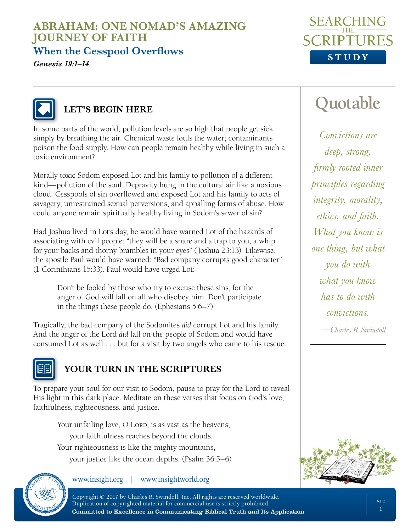**When the Cesspool Overflows**

*Genesis 19:1–14*





### **LET'S BEGIN HERE**

In some parts of the world, pollution levels are so high that people get sick simply by breathing the air. Chemical waste fouls the water; contaminants poison the food supply. How can people remain healthy while living in such a toxic environment?

Morally toxic Sodom exposed Lot and his family to pollution of a different kind—pollution of the soul. Depravity hung in the cultural air like a noxious cloud. Cesspools of sin overflowed and exposed Lot and his family to acts of savagery, unrestrained sexual perversions, and appalling forms of abuse. How could anyone remain spiritually healthy living in Sodom's sewer of sin?

Had Joshua lived in Lot's day, he would have warned Lot of the hazards of associating with evil people: "they will be a snare and a trap to you, a whip for your backs and thorny brambles in your eyes" (Joshua 23:13). Likewise, the apostle Paul would have warned: "Bad company corrupts good character" (1 Corinthians 15:33). Paul would have urged Lot:

Don't be fooled by those who try to excuse these sins, for the anger of God will fall on all who disobey him. Don't participate in the things these people do. (Ephesians 5:6–7)

Tragically, the bad company of the Sodomites *did* corrupt Lot and his family. And the anger of the Lord *did* fall on the people of Sodom and would have consumed Lot as well . . . but for a visit by two angels who came to his rescue.



### **YOUR TURN IN THE SCRIPTURES**

To prepare your soul for our visit to Sodom, pause to pray for the Lord to reveal His light in this dark place. Meditate on these verses that focus on God's love, faithfulness, righteousness, and justice.

Your unfailing love, O Lorp, is as vast as the heavens; your faithfulness reaches beyond the clouds. Your righteousness is like the mighty mountains, your justice like the ocean depths. (Psalm 36:5–6)



www.insight.org | www.insightworld.org

**Quotable**

*Convictions are deep, strong, firmly rooted inner principles regarding integrity, morality, ethics, and faith. What you know is one thing, but what you do with what you know has to do with convictions.*

*—Charles R. Swindoll*

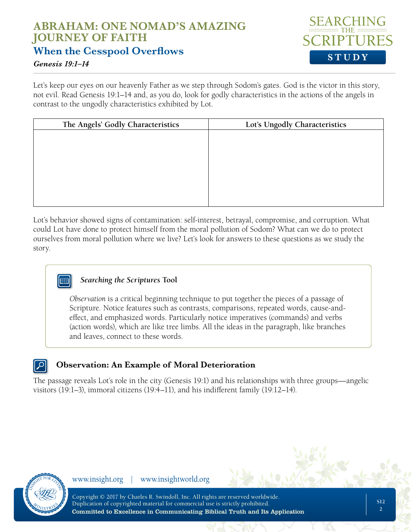### **ABRAHAM: ONE NOMAD'S AMAZING JOURNEY OF FAITH When the Cesspool Overflows**



#### *Genesis 19:1–14*

Let's keep our eyes on our heavenly Father as we step through Sodom's gates. God is the victor in this story, not evil. Read Genesis 19:1–14 and, as you do, look for godly characteristics in the actions of the angels in contrast to the ungodly characteristics exhibited by Lot.

| Lot's Ungodly Characteristics |
|-------------------------------|
|                               |
|                               |
|                               |
|                               |
|                               |
|                               |
|                               |

Lot's behavior showed signs of contamination: self-interest, betrayal, compromise, and corruption. What could Lot have done to protect himself from the moral pollution of Sodom? What can we do to protect ourselves from moral pollution where we live? Let's look for answers to these questions as we study the story.

### *Searching the Scriptures* **Tool**

*Observation* is a critical beginning technique to put together the pieces of a passage of Scripture. Notice features such as contrasts, comparisons, repeated words, cause-andeffect, and emphasized words. Particularly notice imperatives (commands) and verbs (action words), which are like tree limbs. All the ideas in the paragraph, like branches and leaves, connect to these words.

### **Observation: An Example of Moral Deterioration**

The passage reveals Lot's role in the city (Genesis 19:1) and his relationships with three groups—angelic visitors (19:1–3), immoral citizens (19:4–11), and his indifferent family (19:12–14).



www.insight.org | www.insightworld.org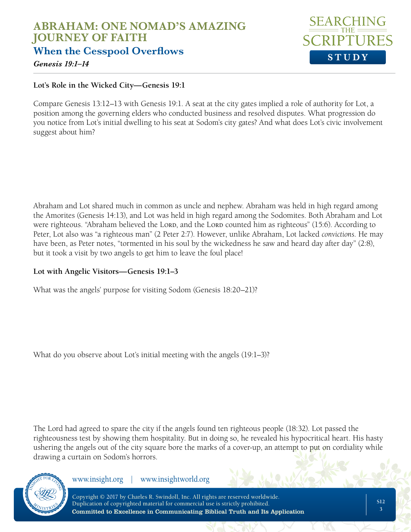

*Genesis 19:1–14*

#### **Lot's Role in the Wicked City—Genesis 19:1**

Compare Genesis 13:12–13 with Genesis 19:1. A seat at the city gates implied a role of authority for Lot, a position among the governing elders who conducted business and resolved disputes. What progression do you notice from Lot's initial dwelling to his seat at Sodom's city gates? And what does Lot's civic involvement suggest about him?

Abraham and Lot shared much in common as uncle and nephew. Abraham was held in high regard among the Amorites (Genesis 14:13), and Lot was held in high regard among the Sodomites. Both Abraham and Lot were righteous. "Abraham believed the Lord, and the Lord counted him as righteous" (15:6). According to Peter, Lot also was "a righteous man" (2 Peter 2:7). However, unlike Abraham, Lot lacked *convictions*. He may have been, as Peter notes, "tormented in his soul by the wickedness he saw and heard day after day" (2:8), but it took a visit by two angels to get him to leave the foul place!

#### **Lot with Angelic Visitors—Genesis 19:1–3**

What was the angels' purpose for visiting Sodom (Genesis 18:20–21)?

What do you observe about Lot's initial meeting with the angels (19:1–3)?

The Lord had agreed to spare the city if the angels found ten righteous people (18:32). Lot passed the righteousness test by showing them hospitality. But in doing so, he revealed his hypocritical heart. His hasty ushering the angels out of the city square bore the marks of a cover-up, an attempt to put on cordiality while drawing a curtain on Sodom's horrors.



www.insight.org | www.insightworld.org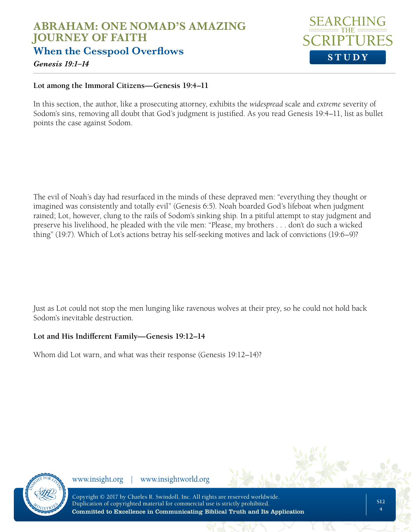

*Genesis 19:1–14*

#### **Lot among the Immoral Citizens—Genesis 19:4–11**

In this section, the author, like a prosecuting attorney, exhibits the *widespread* scale and *extreme* severity of Sodom's sins, removing all doubt that God's judgment is justified. As you read Genesis 19:4–11, list as bullet points the case against Sodom.

The evil of Noah's day had resurfaced in the minds of these depraved men: "everything they thought or imagined was consistently and totally evil" (Genesis 6:5). Noah boarded God's lifeboat when judgment rained; Lot, however, clung to the rails of Sodom's sinking ship. In a pitiful attempt to stay judgment and preserve his livelihood, he pleaded with the vile men: "Please, my brothers . . . don't do such a wicked thing" (19:7). Which of Lot's actions betray his self-seeking motives and lack of convictions (19:6–9)?

Just as Lot could not stop the men lunging like ravenous wolves at their prey, so he could not hold back Sodom's inevitable destruction.

#### **Lot and His Indifferent Family—Genesis 19:12–14**

Whom did Lot warn, and what was their response (Genesis 19:12–14)?



www.insight.org | www.insightworld.org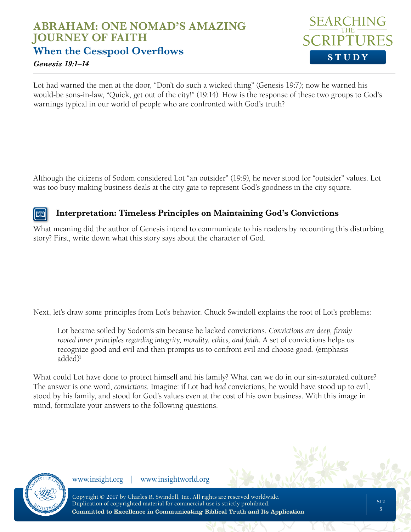## **ABRAHAM: ONE NOMAD'S AMAZING JOURNEY OF FAITH When the Cesspool Overflows**



#### *Genesis 19:1–14*

Lot had warned the men at the door, "Don't do such a wicked thing" (Genesis 19:7); now he warned his would-be sons-in-law, "Quick, get out of the city!" (19:14). How is the response of these two groups to God's warnings typical in our world of people who are confronted with God's truth?

Although the citizens of Sodom considered Lot "an outsider" (19:9), he never stood for "outsider" values. Lot was too busy making business deals at the city gate to represent God's goodness in the city square.

### Ina

### **Interpretation: Timeless Principles on Maintaining God's Convictions**

What meaning did the author of Genesis intend to communicate to his readers by recounting this disturbing story? First, write down what this story says about the character of God.

Next, let's draw some principles from Lot's behavior. Chuck Swindoll explains the root of Lot's problems:

Lot became soiled by Sodom's sin because he lacked convictions. *Convictions are deep, firmly rooted inner principles regarding integrity, morality, ethics, and faith*. A set of convictions helps us recognize good and evil and then prompts us to confront evil and choose good. (emphasis added)<sup>1</sup>

What could Lot have done to protect himself and his family? What can we do in our sin-saturated culture? The answer is one word, *convictions*. Imagine: if Lot had *had* convictions, he would have stood up to evil, stood by his family, and stood for God's values even at the cost of his own business. With this image in mind, formulate your answers to the following questions.



www.insight.org | www.insightworld.org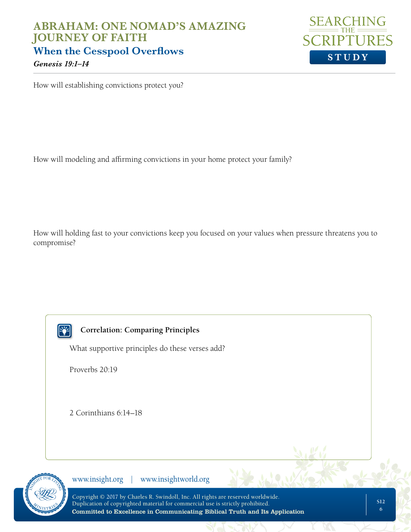

How will establishing convictions protect you?

How will modeling and affirming convictions in your home protect your family?

How will holding fast to your convictions keep you focused on your values when pressure threatens you to compromise?

**Py** 

#### **Correlation: Comparing Principles**

What supportive principles do these verses add?

Proverbs 20:19

2 Corinthians 6:14–18



www.insight.org | www.insightworld.org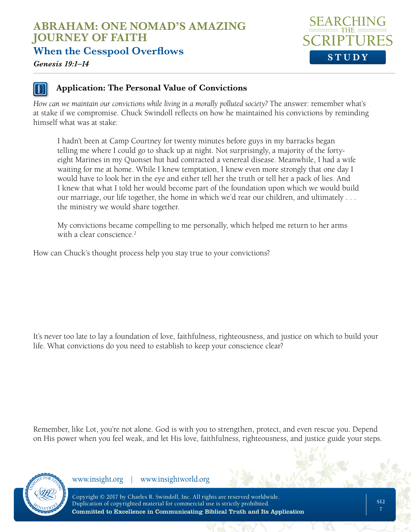**When the Cesspool Overflows**



*Genesis 19:1–14*

### **Application: The Personal Value of Convictions**

*How can we maintain our convictions while living in a morally polluted society?* The answer: remember what's at stake if we compromise. Chuck Swindoll reflects on how he maintained his convictions by reminding himself what was at stake:

I hadn't been at Camp Courtney for twenty minutes before guys in my barracks began telling me where I could go to shack up at night. Not surprisingly, a majority of the fortyeight Marines in my Quonset hut had contracted a venereal disease. Meanwhile, I had a wife waiting for me at home. While I knew temptation, I knew even more strongly that one day I would have to look her in the eye and either tell her the truth or tell her a pack of lies. And I knew that what I told her would become part of the foundation upon which we would build our marriage, our life together, the home in which we'd rear our children, and ultimately . . . the ministry we would share together.

My convictions became compelling to me personally, which helped me return to her arms with a clear conscience.<sup>2</sup>

How can Chuck's thought process help you stay true to your convictions?

It's never too late to lay a foundation of love, faithfulness, righteousness, and justice on which to build your life. What convictions do you need to establish to keep your conscience clear?

Remember, like Lot, you're not alone. God is with you to strengthen, protect, and even rescue you. Depend on His power when you feel weak, and let His love, faithfulness, righteousness, and justice guide your steps.



www.insight.org | www.insightworld.org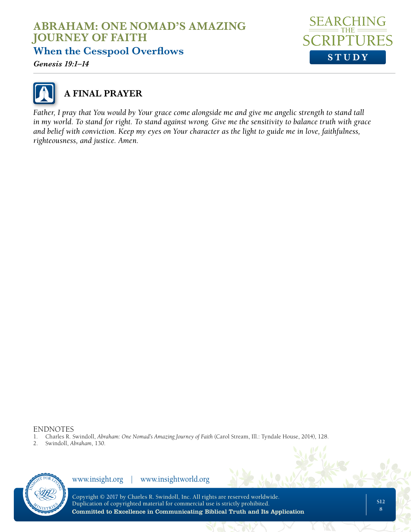**When the Cesspool Overflows**

*Genesis 19:1–14*





## **A FINAL PRAYER**

*Father, I pray that You would by Your grace come alongside me and give me angelic strength to stand tall in my world. To stand for right. To stand against wrong. Give me the sensitivity to balance truth with grace and belief with conviction. Keep my eyes on Your character as the light to guide me in love, faithfulness, righteousness, and justice. Amen.*

#### ENDNOTES

- 1. Charles R. Swindoll, *Abraham: One Nomad's Amazing Journey of Faith* (Carol Stream, Ill.: Tyndale House, 2014), 128.
- 2. Swindoll, *Abraham*, 130.



www.insight.org | www.insightworld.org